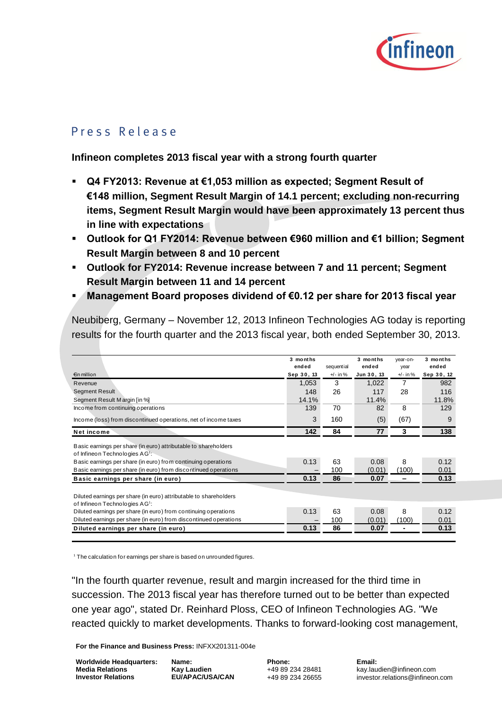

# P r e s s R e l e a s e<br>P r e s s R e l e a s e

**Infineon completes 2013 fiscal year with a strong fourth quarter**

- **Q4 FY2013: Revenue at €1,053 million as expected; Segment Result of €148 million, Segment Result Margin of 14.1 percent; excluding non-recurring items, Segment Result Margin would have been approximately 13 percent thus in line with expectations**
- **Outlook for Q1 FY2014: Revenue between €960 million and €1 billion; Segment Result Margin between 8 and 10 percent**
- **Outlook for FY2014: Revenue increase between 7 and 11 percent; Segment Result Margin between 11 and 14 percent**
- **Management Board proposes dividend of €0.12 per share for 2013 fiscal year**

|                                                                                                                 | 3 months<br>ended | sequential | 3 months<br>ended | vear-on-<br>year | 3 months<br>ended |
|-----------------------------------------------------------------------------------------------------------------|-------------------|------------|-------------------|------------------|-------------------|
| €in million                                                                                                     | Sep 30, 13        | $+/-$ in % | Jun 30, 13        | $+/-$ in %       | Sep 30, 12        |
| Revenue                                                                                                         | 1,053             | 3          | 1,022             | 7                | 982               |
| <b>Segment Result</b>                                                                                           | 148               | 26         | 117               | 28               | 116               |
| Segment Result Margin [in %]                                                                                    | 14.1%             |            | 11.4%             |                  | 11.8%             |
| Income from continuing operations                                                                               | 139               | 70         | 82                | 8                | 129               |
| Income (loss) from discontinued operations, net of income taxes                                                 | 3                 | 160        | (5)               | (67)             | 9                 |
| Net income                                                                                                      | 142               | 84         | 77                | 3                | 138               |
| Basic earnings per share (in euro) attributable to shareholders<br>of Infineon Technologies AG <sup>1</sup> :   |                   |            |                   |                  |                   |
| Basic earnings per share (in euro) from continuing operations                                                   | 0.13              | 63         | 0.08              | 8                | 0.12              |
| Basic earnings per share (in euro) from discontinued operations                                                 |                   | 100        | (0.01)            | (100)            | 0.01              |
| Basic earnings per share (in euro)                                                                              | 0.13              | 86         | 0.07              | -                | 0.13              |
| Diluted earnings per share (in euro) attributable to shareholders<br>of Infineon Technologies AG <sup>1</sup> : |                   |            |                   |                  |                   |
| Diluted earnings per share (in euro) from continuing operations                                                 | 0.13              | 63         | 0.08              | 8                | 0.12              |
| Diluted earnings per share (in euro) from discontinued operations                                               |                   | 100        | (0.01)            | (100)            | 0.01              |
| Diluted earnings per share (in euro)                                                                            | 0.13              | 86         | 0.07              |                  | 0.13              |

Neubiberg, Germany – November 12, 2013 Infineon Technologies AG today is reporting

<sup>1</sup> The calculation for earnings per share is based on unrounded figures.

"In the fourth quarter revenue, result and margin increased for the third time in succession. The 2013 fiscal year has therefore turned out to be better than expected one year ago", stated Dr. Reinhard Ploss, CEO of Infineon Technologies AG. "We reacted quickly to market developments. Thanks to forward-looking cost management,

**For the Finance and Business Press:** INFXX201311-004e

**Worldwide Headquarters: Media Relations Investor Relations**

**Name: Kay Laudien EU/APAC/USA/CAN** **Phone:** +49 89 234 28481 +49 89 234 26655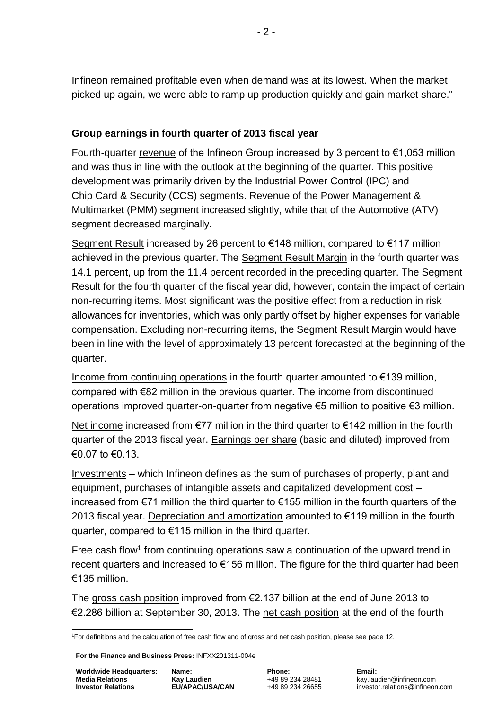Infineon remained profitable even when demand was at its lowest. When the market picked up again, we were able to ramp up production quickly and gain market share."

# **Group earnings in fourth quarter of 2013 fiscal year**

Fourth-quarter revenue of the Infineon Group increased by 3 percent to €1,053 million and was thus in line with the outlook at the beginning of the quarter. This positive development was primarily driven by the Industrial Power Control (IPC) and Chip Card & Security (CCS) segments. Revenue of the Power Management & Multimarket (PMM) segment increased slightly, while that of the Automotive (ATV) segment decreased marginally.

Segment Result increased by 26 percent to €148 million, compared to €117 million achieved in the previous quarter. The Segment Result Margin in the fourth quarter was 14.1 percent, up from the 11.4 percent recorded in the preceding quarter. The Segment Result for the fourth quarter of the fiscal year did, however, contain the impact of certain non-recurring items. Most significant was the positive effect from a reduction in risk allowances for inventories, which was only partly offset by higher expenses for variable compensation. Excluding non-recurring items, the Segment Result Margin would have been in line with the level of approximately 13 percent forecasted at the beginning of the quarter.

Income from continuing operations in the fourth quarter amounted to  $\epsilon$ 139 million, compared with €82 million in the previous quarter. The income from discontinued operations improved quarter-on-quarter from negative €5 million to positive €3 million.

Net income increased from €77 million in the third quarter to €142 million in the fourth quarter of the 2013 fiscal year. Earnings per share (basic and diluted) improved from  $\epsilon$ 0.07 to  $\epsilon$ 0.13

Investments – which Infineon defines as the sum of purchases of property, plant and equipment, purchases of intangible assets and capitalized development cost – increased from €71 million the third quarter to €155 million in the fourth quarters of the 2013 fiscal year. Depreciation and amortization amounted to €119 million in the fourth quarter, compared to €115 million in the third quarter.

Free cash flow<sup>1</sup> from continuing operations saw a continuation of the upward trend in recent quarters and increased to €156 million. The figure for the third quarter had been €135 million.

The gross cash position improved from €2.137 billion at the end of June 2013 to €2.286 billion at September 30, 2013. The net cash position at the end of the fourth

<sup>1</sup> <sup>1</sup>For definitions and the calculation of free cash flow and of gross and net cash position, please see page 12.

**For the Finance and Business Press:** INFXX201311-004e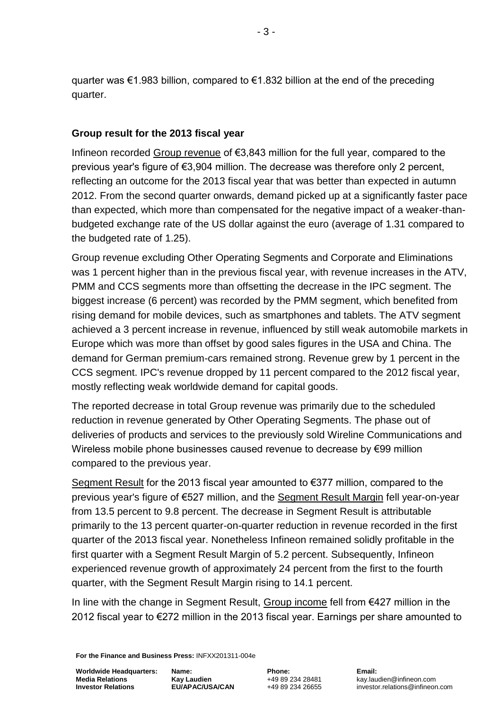quarter was €1.983 billion, compared to €1.832 billion at the end of the preceding quarter.

# **Group result for the 2013 fiscal year**

Infineon recorded Group revenue of €3,843 million for the full year, compared to the previous year's figure of €3,904 million. The decrease was therefore only 2 percent, reflecting an outcome for the 2013 fiscal year that was better than expected in autumn 2012. From the second quarter onwards, demand picked up at a significantly faster pace than expected, which more than compensated for the negative impact of a weaker-thanbudgeted exchange rate of the US dollar against the euro (average of 1.31 compared to the budgeted rate of 1.25).

Group revenue excluding Other Operating Segments and Corporate and Eliminations was 1 percent higher than in the previous fiscal year, with revenue increases in the ATV, PMM and CCS segments more than offsetting the decrease in the IPC segment. The biggest increase (6 percent) was recorded by the PMM segment, which benefited from rising demand for mobile devices, such as smartphones and tablets. The ATV segment achieved a 3 percent increase in revenue, influenced by still weak automobile markets in Europe which was more than offset by good sales figures in the USA and China. The demand for German premium-cars remained strong. Revenue grew by 1 percent in the CCS segment. IPC's revenue dropped by 11 percent compared to the 2012 fiscal year, mostly reflecting weak worldwide demand for capital goods.

The reported decrease in total Group revenue was primarily due to the scheduled reduction in revenue generated by Other Operating Segments. The phase out of deliveries of products and services to the previously sold Wireline Communications and Wireless mobile phone businesses caused revenue to decrease by €99 million compared to the previous year.

Segment Result for the 2013 fiscal year amounted to €377 million, compared to the previous year's figure of €527 million, and the Segment Result Margin fell year-on-year from 13.5 percent to 9.8 percent. The decrease in Segment Result is attributable primarily to the 13 percent quarter-on-quarter reduction in revenue recorded in the first quarter of the 2013 fiscal year. Nonetheless Infineon remained solidly profitable in the first quarter with a Segment Result Margin of 5.2 percent. Subsequently, Infineon experienced revenue growth of approximately 24 percent from the first to the fourth quarter, with the Segment Result Margin rising to 14.1 percent.

In line with the change in Segment Result, Group income fell from €427 million in the 2012 fiscal year to €272 million in the 2013 fiscal year. Earnings per share amounted to

**For the Finance and Business Press:** INFXX201311-004e

**Worldwide Headquarters: Media Relations Investor Relations**

**Name: Kay Laudien EU/APAC/USA/CAN** **Phone:** +49 89 234 28481 +49 89 234 26655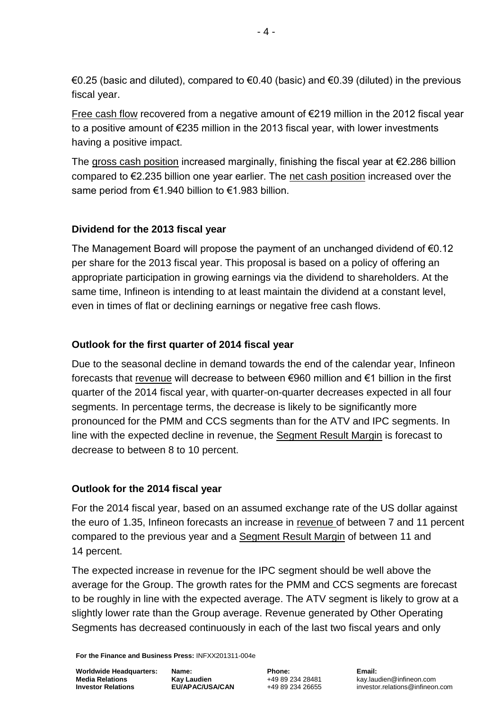€0.25 (basic and diluted), compared to €0.40 (basic) and €0.39 (diluted) in the previous fiscal year.

Free cash flow recovered from a negative amount of €219 million in the 2012 fiscal year to a positive amount of €235 million in the 2013 fiscal year, with lower investments having a positive impact.

The gross cash position increased marginally, finishing the fiscal year at  $\epsilon$ 2.286 billion compared to €2.235 billion one year earlier. The net cash position increased over the same period from €1.940 billion to €1.983 billion.

# **Dividend for the 2013 fiscal year**

The Management Board will propose the payment of an unchanged dividend of €0.12 per share for the 2013 fiscal year. This proposal is based on a policy of offering an appropriate participation in growing earnings via the dividend to shareholders. At the same time, Infineon is intending to at least maintain the dividend at a constant level, even in times of flat or declining earnings or negative free cash flows.

# **Outlook for the first quarter of 2014 fiscal year**

Due to the seasonal decline in demand towards the end of the calendar year, Infineon forecasts that revenue will decrease to between €960 million and €1 billion in the first quarter of the 2014 fiscal year, with quarter-on-quarter decreases expected in all four segments. In percentage terms, the decrease is likely to be significantly more pronounced for the PMM and CCS segments than for the ATV and IPC segments. In line with the expected decline in revenue, the Segment Result Margin is forecast to decrease to between 8 to 10 percent.

# **Outlook for the 2014 fiscal year**

For the 2014 fiscal year, based on an assumed exchange rate of the US dollar against the euro of 1.35, Infineon forecasts an increase in revenue of between 7 and 11 percent compared to the previous year and a Segment Result Margin of between 11 and 14 percent.

The expected increase in revenue for the IPC segment should be well above the average for the Group. The growth rates for the PMM and CCS segments are forecast to be roughly in line with the expected average. The ATV segment is likely to grow at a slightly lower rate than the Group average. Revenue generated by Other Operating Segments has decreased continuously in each of the last two fiscal years and only

**For the Finance and Business Press:** INFXX201311-004e

**Worldwide Headquarters: Media Relations Investor Relations**

**Name: Kay Laudien EU/APAC/USA/CAN** **Phone:** +49 89 234 28481 +49 89 234 26655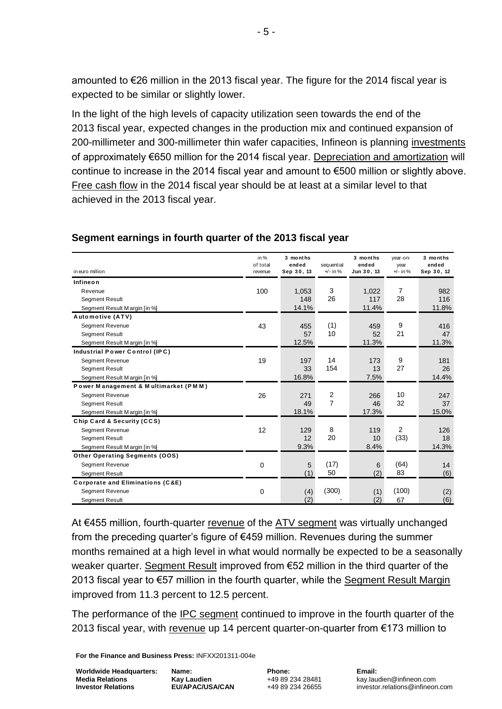amounted to €26 million in the 2013 fiscal year. The figure for the 2014 fiscal year is expected to be similar or slightly lower.

In the light of the high levels of capacity utilization seen towards the end of the 2013 fiscal year, expected changes in the production mix and continued expansion of 200-millimeter and 300-millimeter thin wafer capacities, Infineon is planning investments of approximately €650 million for the 2014 fiscal year. Depreciation and amortization will continue to increase in the 2014 fiscal year and amount to €500 million or slightly above. Free cash flow in the 2014 fiscal year should be at least at a similar level to that achieved in the 2013 fiscal year.

| in euro million                       | in $%$<br>of total<br>revenue | 3 months<br>ended<br>Sep 30, 13 | sequential<br>$+/-$ in % | 3 months<br>ended<br>Jun 30, 13 | year-on-<br>year<br>$+/-$ in % | 3 months<br>ended<br>Sep 30, 12 |
|---------------------------------------|-------------------------------|---------------------------------|--------------------------|---------------------------------|--------------------------------|---------------------------------|
| Infineon                              |                               |                                 |                          |                                 |                                |                                 |
| Revenue                               | 100                           | 1,053                           | 3                        | 1,022                           | 7                              | 982                             |
| <b>Segment Result</b>                 |                               | 148                             | 26                       | 117                             | 28                             | 116                             |
| Segment Result Margin [in %]          |                               | 14.1%                           |                          | 11.4%                           |                                | 11.8%                           |
| Automotive (ATV)                      |                               |                                 |                          |                                 |                                |                                 |
| <b>Segment Revenue</b>                | 43                            | 455                             | (1)                      | 459                             | 9                              | 416                             |
| <b>Segment Result</b>                 |                               | 57                              | 10                       | 52                              | 21                             | 47                              |
| Segment Result Margin [in %]          |                               | 12.5%                           |                          | 11.3%                           |                                | 11.3%                           |
| Industrial Power Control (IPC)        |                               |                                 |                          |                                 |                                |                                 |
| <b>Segment Revenue</b>                | 19                            | 197                             | 14                       | 173                             | 9                              | 181                             |
| <b>Segment Result</b>                 |                               | 33                              | 154                      | 13                              | 27                             | 26                              |
| Segment Result Margin [in %]          |                               | 16.8%                           |                          | 7.5%                            |                                | 14.4%                           |
| Power Management & Multimarket (PMM)  |                               |                                 |                          |                                 |                                |                                 |
| Segment Revenue                       | 26                            | 271                             | $\overline{c}$           | 266                             | 10                             | 247                             |
| <b>Segment Result</b>                 |                               | 49                              | 7                        | 46                              | 32                             | 37                              |
| Segment Result Margin [in %]          |                               | 18.1%                           |                          | 17.3%                           |                                | 15.0%                           |
| Chip Card & Security (CCS)            |                               |                                 |                          |                                 |                                |                                 |
| <b>Segment Revenue</b>                | 12                            | 129                             | 8                        | 119                             | 2                              | 126                             |
| <b>Segment Result</b>                 |                               | 12                              | 20                       | 10                              | (33)                           | 18                              |
| Segment Result Margin [in %]          |                               | 9.3%                            |                          | 8.4%                            |                                | 14.3%                           |
| <b>Other Operating Segments (OOS)</b> |                               |                                 |                          |                                 |                                |                                 |
| <b>Segment Revenue</b>                | $\mathbf 0$                   | 5                               | (17)                     | 6                               | (64)                           | 14                              |
| <b>Segment Result</b>                 |                               | (1)                             | 50                       | (2)                             | 83                             | (6)                             |
| Corporate and Eliminations (C&E)      |                               |                                 |                          |                                 |                                |                                 |
| <b>Segment Revenue</b>                | $\mathbf 0$                   | (4)                             | (300)                    | (1)                             | (100)                          | (2)                             |
| <b>Segment Result</b>                 |                               | (2)                             |                          | (2)                             | 67                             | (6)                             |

At €455 million, fourth-quarter revenue of the ATV segment was virtually unchanged from the preceding quarter's figure of €459 million. Revenues during the summer months remained at a high level in what would normally be expected to be a seasonally weaker quarter. Segment Result improved from €52 million in the third quarter of the 2013 fiscal year to €57 million in the fourth quarter, while the Segment Result Margin improved from 11.3 percent to 12.5 percent.

The performance of the IPC segment continued to improve in the fourth quarter of the 2013 fiscal year, with revenue up 14 percent quarter-on-quarter from  $\epsilon$ 173 million to

**For the Finance and Business Press:** INFXX201311-004e

**Worldwide Headquarters: Media Relations Investor Relations**

**Name: Kay Laudien EU/APAC/USA/CAN**

**Phone:** +49 89 234 28481 +49 89 234 26655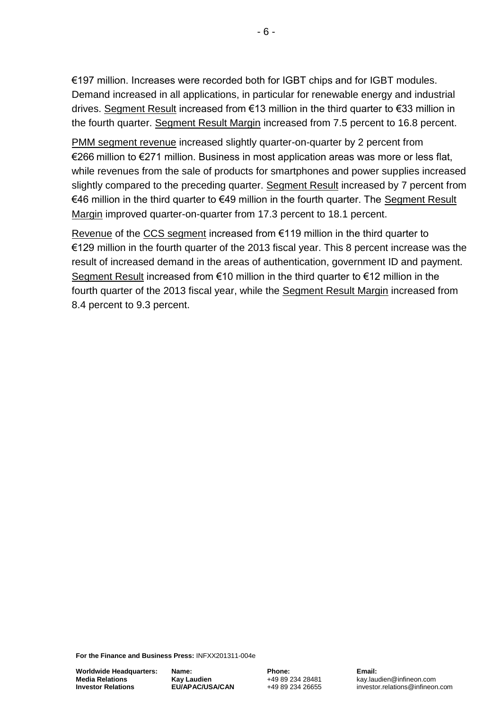€197 million. Increases were recorded both for IGBT chips and for IGBT modules. Demand increased in all applications, in particular for renewable energy and industrial drives. Segment Result increased from €13 million in the third quarter to €33 million in the fourth quarter. Segment Result Margin increased from 7.5 percent to 16.8 percent.

PMM segment revenue increased slightly quarter-on-quarter by 2 percent from €266 million to €271 million. Business in most application areas was more or less flat, while revenues from the sale of products for smartphones and power supplies increased slightly compared to the preceding quarter. Segment Result increased by 7 percent from €46 million in the third quarter to €49 million in the fourth quarter. The Segment Result Margin improved quarter-on-quarter from 17.3 percent to 18.1 percent.

Revenue of the CCS segment increased from €119 million in the third quarter to €129 million in the fourth quarter of the 2013 fiscal year. This 8 percent increase was the result of increased demand in the areas of authentication, government ID and payment. Segment Result increased from €10 million in the third quarter to €12 million in the fourth quarter of the 2013 fiscal year, while the Segment Result Margin increased from 8.4 percent to 9.3 percent.

**For the Finance and Business Press:** INFXX201311-004e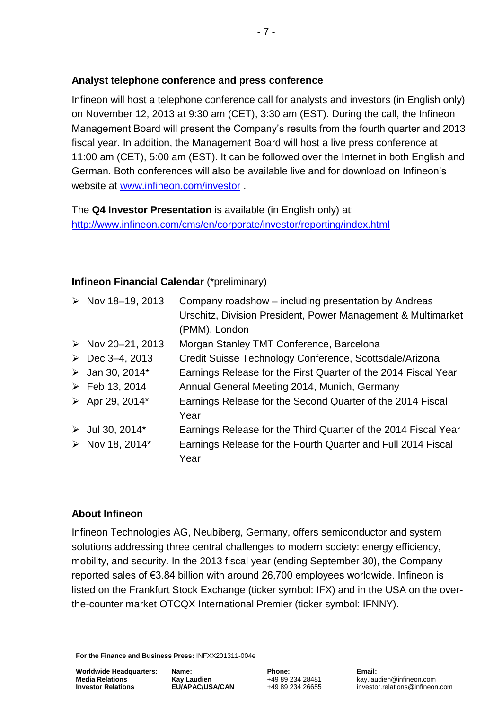# **Analyst telephone conference and press conference**

Infineon will host a telephone conference call for analysts and investors (in English only) on November 12, 2013 at 9:30 am (CET), 3:30 am (EST). During the call, the Infineon Management Board will present the Company's results from the fourth quarter and 2013 fiscal year. In addition, the Management Board will host a live press conference at 11:00 am (CET), 5:00 am (EST). It can be followed over the Internet in both English and German. Both conferences will also be available live and for download on Infineon's website at [www.infineon.com/investor](http://www.infineon.com/investor) .

The **Q4 Investor Presentation** is available (in English only) at: <http://www.infineon.com/cms/en/corporate/investor/reporting/index.html>

# **Infineon Financial Calendar** (\*preliminary)

| $\triangleright$ Nov 18-19, 2013 | Company roadshow - including presentation by Andreas<br>Urschitz, Division President, Power Management & Multimarket<br>(PMM), London |
|----------------------------------|---------------------------------------------------------------------------------------------------------------------------------------|
| $\triangleright$ Nov 20-21, 2013 | Morgan Stanley TMT Conference, Barcelona                                                                                              |
| $\triangleright$ Dec 3-4, 2013   | Credit Suisse Technology Conference, Scottsdale/Arizona                                                                               |
| $\triangleright$ Jan 30, 2014*   | Earnings Release for the First Quarter of the 2014 Fiscal Year                                                                        |
| $\triangleright$ Feb 13, 2014    | Annual General Meeting 2014, Munich, Germany                                                                                          |
| $\triangleright$ Apr 29, 2014*   | Earnings Release for the Second Quarter of the 2014 Fiscal<br>Year                                                                    |
| $\triangleright$ Jul 30, 2014*   | Earnings Release for the Third Quarter of the 2014 Fiscal Year                                                                        |
| $\triangleright$ Nov 18, 2014*   | Earnings Release for the Fourth Quarter and Full 2014 Fiscal<br>Year                                                                  |

# **About Infineon**

Infineon Technologies AG, Neubiberg, Germany, offers semiconductor and system solutions addressing three central challenges to modern society: energy efficiency, mobility, and security. In the 2013 fiscal year (ending September 30), the Company reported sales of €3.84 billion with around 26,700 employees worldwide. Infineon is listed on the Frankfurt Stock Exchange (ticker symbol: IFX) and in the USA on the overthe-counter market OTCQX International Premier (ticker symbol: IFNNY).

**For the Finance and Business Press:** INFXX201311-004e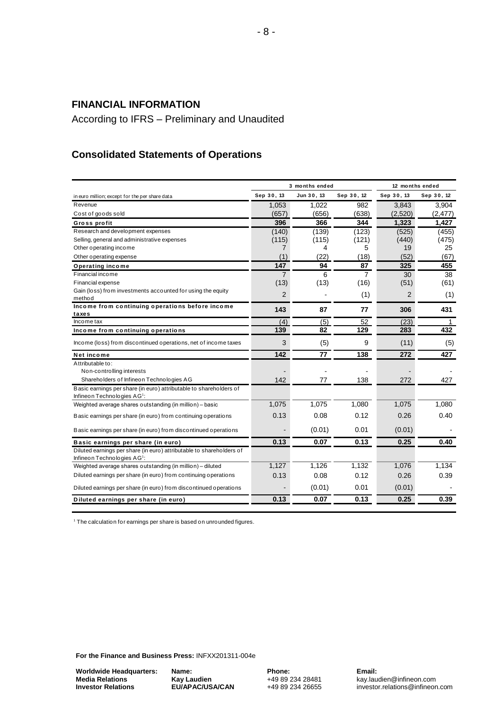## **FINANCIAL INFORMATION**

According to IFRS – Preliminary and Unaudited

# **Consolidated Statements of Operations**

|                                                                                                               |                | 3 months ended |                | 12 months ended |            |
|---------------------------------------------------------------------------------------------------------------|----------------|----------------|----------------|-----------------|------------|
| in euro million; except for the per share data                                                                | Sep 30, 13     | Jun 30, 13     | Sep 30, 12     | Sep 30, 13      | Sep 30, 12 |
| Revenue                                                                                                       | 1.053          | 1.022          | 982            | 3,843           | 3,904      |
| Cost of goods sold                                                                                            | (657)          | (656)          | (638)          | (2,520)         | (2, 477)   |
| Gross profit                                                                                                  | 396            | 366            | 344            | 1,323           | 1,427      |
| Research and development expenses                                                                             | (140)          | (139)          | (123)          | (525)           | (455)      |
| Selling, general and administrative expenses                                                                  | (115)          | (115)          | (121)          | (440)           | (475)      |
| Other operating income                                                                                        | 7              | 4              | 5              | 19              | 25         |
| Other operating expense                                                                                       | (1)            | (22)           | (18)           | (52)            | (67)       |
| <b>Operating income</b>                                                                                       | 147            | 94             | 87             | 325             | 455        |
| Financial income                                                                                              | $\overline{7}$ | 6              | $\overline{7}$ | 30              | 38         |
| Financial expense                                                                                             | (13)           | (13)           | (16)           | (51)            | (61)       |
| Gain (loss) from investments accounted for using the equity                                                   | $\overline{2}$ |                | (1)            | $\overline{2}$  | (1)        |
| method                                                                                                        |                |                |                |                 |            |
| Income from continuing operations before income                                                               | 143            | 87             | 77             | 306             | 431        |
| taxes<br>Income tax                                                                                           | (4)            | (5)            | 52             | (23)            | 1          |
| Income from continuing operations                                                                             | 139            | 82             | 129            | 283             | 432        |
|                                                                                                               |                |                |                |                 |            |
| Income (loss) from discontinued operations, net of income taxes                                               | 3              | (5)            | 9              | (11)            | (5)        |
| Net income                                                                                                    | 142            | 77             | 138            | 272             | 427        |
| Attributable to:                                                                                              |                |                |                |                 |            |
| Non-controlling interests                                                                                     |                |                |                |                 |            |
| Shareholders of Infineon Technologies AG                                                                      | 142            | 77             | 138            | 272             | 427        |
| Basic earnings per share (in euro) attributable to shareholders of<br>Infineon Technologies AG <sup>1</sup> : |                |                |                |                 |            |
| Weighted average shares outstanding (in million) - basic                                                      | 1,075          | 1.075          | 1.080          | 1,075           | 1.080      |
| Basic earnings per share (in euro) from continuing operations                                                 | 0.13           | 0.08           | 0.12           | 0.26            | 0.40       |
| Basic earnings per share (in euro) from discontinued operations                                               |                | (0.01)         | 0.01           | (0.01)          |            |
| Basic earnings per share (in euro)                                                                            | 0.13           | 0.07           | 0.13           | 0.25            | 0.40       |
| Diluted earnings per share (in euro) attributable to shareholders of<br>Infineon Technologies AG1:            |                |                |                |                 |            |
| Weighted average shares outstanding (in million) - diluted                                                    | 1,127          | 1,126          | 1.132          | 1,076           | 1,134      |
| Diluted earnings per share (in euro) from continuing operations                                               | 0.13           | 0.08           | 0.12           | 0.26            | 0.39       |
| Diluted earnings per share (in euro) from discontinued operations                                             |                | (0.01)         | 0.01           | (0.01)          |            |
| Diluted earnings per share (in euro)                                                                          | 0.13           | 0.07           | 0.13           | 0.25            | 0.39       |

<sup>1</sup> The calculation for earnings per share is based on unrounded figures.

**For the Finance and Business Press:** INFXX201311-004e

**Worldwide Headquarters: Media Relations Investor Relations**

**Name: Kay Laudien EU/APAC/USA/CAN** **Phone:** +49 89 234 28481 +49 89 234 26655 **Email:**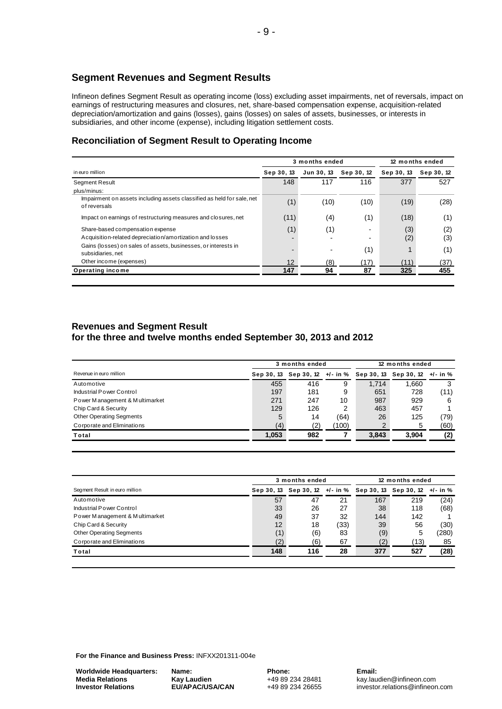### **Segment Revenues and Segment Results**

Infineon defines Segment Result as operating income (loss) excluding asset impairments, net of reversals, impact on earnings of restructuring measures and closures, net, share-based compensation expense, acquisition-related depreciation/amortization and gains (losses), gains (losses) on sales of assets, businesses, or interests in subsidiaries, and other income (expense), including litigation settlement costs.

#### **Reconciliation of Segment Result to Operating Income**

|                                                                                               |            | 3 months ended | 12 months ended |            |            |
|-----------------------------------------------------------------------------------------------|------------|----------------|-----------------|------------|------------|
| in euro million                                                                               | Sep 30, 13 | Jun 30, 13     | Sep 30, 12      | Sep 30, 13 | Sep 30, 12 |
| <b>Segment Result</b><br>plus/minus:                                                          | 148        | 117            | 116             | 377        | 527        |
| Impairment on assets including assets classified as held for sale, net<br>of reversals        | (1)        | (10)           | (10)            | (19)       | (28)       |
| Impact on earnings of restructuring measures and closures, net                                | (11)       | (4)            | (1)             | (18)       | (1)        |
| Share-based compensation expense<br>A cquisition-related depreciation/amortization and losses | (1)        | (1)            |                 | (3)<br>(2) | (2)<br>(3) |
| Gains (losses) on sales of assets, businesses, or interests in<br>subsidiaries, net           |            |                | (1)             |            | (1)        |
| Other income (expenses)                                                                       | 12         | (8)            | (17)            | (11)       | (37)       |
| Operating income                                                                              | 147        | 94             | 87              | 325        | 455        |

#### **Revenues and Segment Result for the three and twelve months ended September 30, 2013 and 2012**

| Revenue in euro million         | 3 months ended |     |       | 12 months ended                |                       |      |
|---------------------------------|----------------|-----|-------|--------------------------------|-----------------------|------|
|                                 | Sep 30, 13     |     |       | Sep 30, 12 +/- in % Sep 30, 13 | Sep 30, 12 $+/-$ in % |      |
| Automotive                      | 455            | 416 | 9     | 1.714                          | 1.660                 |      |
| Industrial Power Control        | 197            | 181 | 9     | 651                            | 728                   | (11) |
| Power Management & Multimarket  | 271            | 247 | 10    | 987                            | 929                   | 6    |
| Chip Card & Security            | 129            | 126 |       | 463                            | 457                   |      |
| <b>Other Operating Segments</b> | 5              | 14  | (64)  | 26                             | 125                   | (79) |
| Corporate and Eliminations      | (4)            | (2) | (100) |                                | 5                     | (60) |
| Total                           | 1,053          | 982 |       | 3,843                          | 3,904                 | (2)  |

| Segment Result in euro million  | 3 months ended |                                                               |      | 12 months ended |      |       |
|---------------------------------|----------------|---------------------------------------------------------------|------|-----------------|------|-------|
|                                 |                | Sep 30, 13 Sep 30, 12 +/- in % Sep 30, 13 Sep 30, 12 +/- in % |      |                 |      |       |
| Automotive                      | 57             | 47                                                            | 21   | 167             | 219  | (24)  |
| Industrial Power Control        | 33             | 26                                                            | 27   | 38              | 118  | (68)  |
| Power Management & Multimarket  | 49             | 37                                                            | 32   | 144             | 142  |       |
| Chip Card & Security            | 12             | 18                                                            | (33) | 39              | 56   | (30)  |
| <b>Other Operating Segments</b> | (1)            | (6)                                                           | 83   | (9)             | 5    | (280) |
| Corporate and Eliminations      | (2             | (6)                                                           | 67   | (2)             | (13) | 85    |
| Total                           | 148            | 116                                                           | 28   | 377             | 527  | (28)  |

**For the Finance and Business Press:** INFXX201311-004e

**Worldwide Headquarters: Media Relations Investor Relations**

**Name: Kay Laudien EU/APAC/USA/CAN** **Phone:** +49 89 234 28481 +49 89 234 26655 **Email:**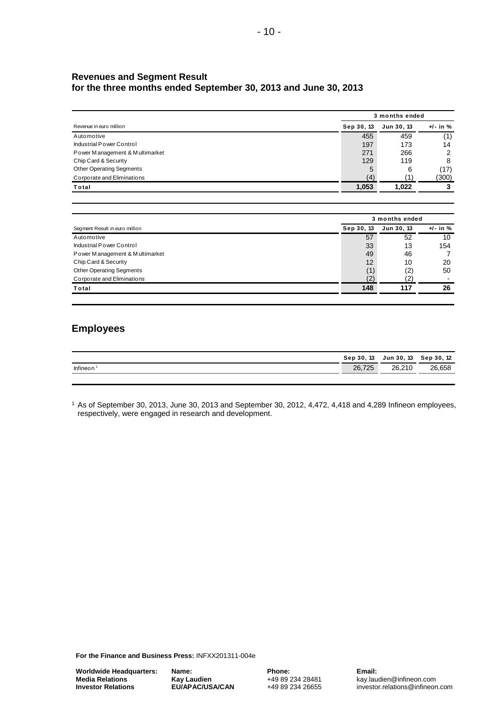#### **Revenues and Segment Result for the three months ended September 30, 2013 and June 30, 2013**

| Revenue in euro million         | 3 months ended |            |              |  |  |
|---------------------------------|----------------|------------|--------------|--|--|
|                                 | Sep 30, 13     | Jun 30, 13 | $+/-$ in $%$ |  |  |
| Automotive                      | 455            | 459        | (1)          |  |  |
| Industrial Power Control        | 197            | 173        | 14           |  |  |
| Power Management & Multimarket  | 271            | 266        | 2            |  |  |
| Chip Card & Security            | 129            | 119        | 8            |  |  |
| <b>Other Operating Segments</b> | 5              | 6          | (17)         |  |  |
| Corporate and Eliminations      | (4)            |            | (300)        |  |  |
| Total                           | 1,053          | 1,022      |              |  |  |

- 10 -

| Segment Result in euro million  | 3 months ended |            |              |  |  |
|---------------------------------|----------------|------------|--------------|--|--|
|                                 | Sep 30, 13     | Jun 30, 13 | $+/-$ in $%$ |  |  |
| Automotive                      | 57             | 52         | 10           |  |  |
| Industrial Power Control        | 33             | 13         | 154          |  |  |
| Power Management & Multimarket  | 49             | 46         |              |  |  |
| Chip Card & Security            | 12             | 10         | 20           |  |  |
| <b>Other Operating Segments</b> | (1)            | (2)        | 50           |  |  |
| Corporate and Eliminations      | (2)            | 2          |              |  |  |
| Total                           | 148            | 117        | 26           |  |  |

# **Employees**

|          | Sep 30, 13 | Jun 30, 13 | Sep 30, 12 |
|----------|------------|------------|------------|
| Infineon | 26,725     | 26.210     | 26,658     |
|          |            |            |            |

<sup>1</sup> As of September 30, 2013, June 30, 2013 and September 30, 2012, 4,472, 4,418 and 4,289 Infineon employees, respectively, were engaged in research and development.

**For the Finance and Business Press:** INFXX201311-004e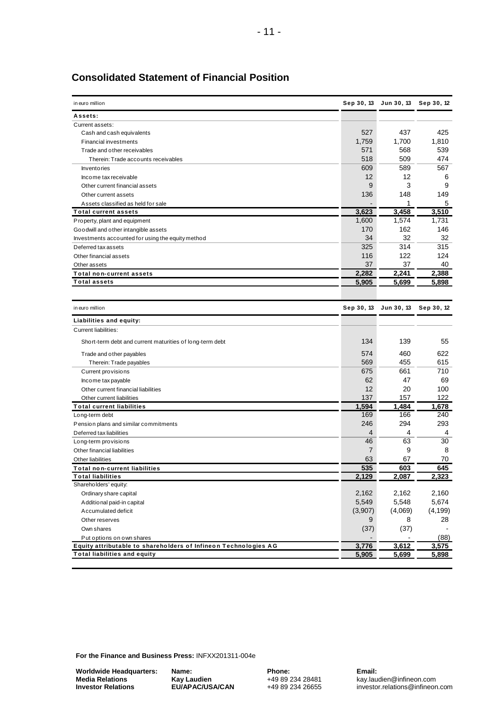| in euro million                                                 | Sep 30, 13     |            | Jun 30, 13 Sep 30, 12 |
|-----------------------------------------------------------------|----------------|------------|-----------------------|
| Assets:                                                         |                |            |                       |
| Current assets:                                                 |                |            |                       |
| Cash and cash equivalents                                       | 527            | 437        | 425                   |
| <b>Financial investments</b>                                    | 1,759          | 1,700      | 1,810                 |
| Trade and other receivables                                     | 571            | 568        | 539                   |
| Therein: Trade accounts receivables                             | 518            | 509        | 474                   |
| <b>Inventories</b>                                              | 609            | 589        | 567                   |
| Income tax receivable                                           | 12             | 12         | 6                     |
| Other current financial assets                                  | 9              | 3          | 9                     |
| Other current assets                                            | 136            | 148        | 149                   |
| Assets classified as held for sale                              |                | 1          | 5                     |
| <b>Total current assets</b>                                     | 3,623          | 3,458      | 3.510                 |
| Property, plant and equipment                                   | 1,600          | 1,574      | 1,731                 |
| Goodwill and other intangible assets                            | 170            | 162        | 146                   |
| Investments accounted for using the equity method               | 34             | 32         | 32                    |
| Deferred tax assets                                             | 325            | 314        | 315                   |
| Other financial assets                                          | 116            | 122        | 124                   |
| Other assets                                                    | 37             | 37         | 40                    |
| <b>Total non-current assets</b>                                 | 2,282          | 2,241      | 2,388                 |
| <b>Total assets</b>                                             | 5,905          | 5,699      | 5,898                 |
|                                                                 |                |            |                       |
| in euro million                                                 | Sep 30, 13     | Jun 30, 13 | Sep 30, 12            |
| Liabilities and equity:                                         |                |            |                       |
| Current liabilities:                                            |                |            |                       |
| Short-term debt and current maturities of long-term debt        | 134            | 139        | 55                    |
| Trade and other payables                                        | 574            | 460        | 622                   |
| Therein: Trade payables                                         | 569            | 455        | 615                   |
| Current provisions                                              | 675            | 661        | 710                   |
| Income tax payable                                              | 62             | 47         | 69                    |
| Other current financial liabilities                             | 12             | 20         | 100                   |
| Other current liabilities                                       | 137            | 157        | 122                   |
| <b>Total current liabilities</b>                                | 1,594          | 1.484      | 1,678                 |
| Long-term debt                                                  | 169            | 166        | 240                   |
| Pension plans and similar commitments                           | 246            | 294        | 293                   |
| Deferred tax liabilities                                        | 4              | 4          | 4                     |
| Long-term provisions                                            | 46             | 63         | 30                    |
| Other financial liabilities                                     | $\overline{7}$ | 9          | 8                     |
| Other liabilities                                               | 63             | 67         | 70                    |
| Total non-current liabilities                                   | 535            | 603        | 645                   |
| <b>Total liabilities</b>                                        | 2,129          | 2,087      | 2,323                 |
| Shareholders' equity:                                           |                |            |                       |
| Ordinary share capital                                          | 2,162          | 2,162      | 2,160                 |
| Additional paid-in capital                                      | 5,549          | 5,548      | 5,674                 |
| Accumulated deficit                                             | (3,907)        | (4,069)    | (4, 199)              |
| Other reserves                                                  | 9              | 8          | 28                    |
| Own shares                                                      | (37)           | (37)       |                       |
| Put options on own shares                                       |                |            | (88)                  |
| Equity attributable to shareholders of Infineon Technologies AG | 3,776          | 3,612      | 3,575                 |
| <b>Total liabilities and equity</b>                             | 5,905          | 5,699      | 5,898                 |

# **Consolidated Statement of Financial Position**

**For the Finance and Business Press:** INFXX201311-004e

**Worldwide Headquarters: Media Relations Investor Relations**

**Name: Kay Laudien EU/APAC/USA/CAN** **Phone:** +49 89 234 28481 +49 89 234 26655 **Email:**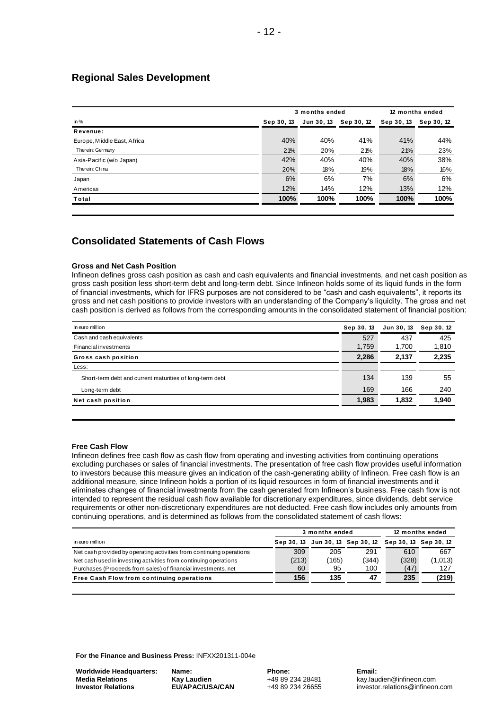#### **Regional Sales Development**

| in %                        |            | 3 months ended |            |            |            |
|-----------------------------|------------|----------------|------------|------------|------------|
|                             | Sep 30, 13 | Jun 30, 13     | Sep 30, 12 | Sep 30, 13 | Sep 30, 12 |
| Revenue:                    |            |                |            |            |            |
| Europe, Middle East, Africa | 40%        | 40%            | 41%        | 41%        | 44%        |
| Therein: Germany            | 21%        | 20%            | 21%        | 21%        | 23%        |
| Asia-Pacific (w/o Japan)    | 42%        | 40%            | 40%        | 40%        | 38%        |
| Therein: China              | 20%        | 18%            | 19%        | 18%        | 16%        |
| Japan                       | 6%         | 6%             | 7%         | 6%         | 6%         |
| Americas                    | 12%        | 14%            | 12%        | 13%        | 12%        |
| Total                       | 100%       | 100%           | 100%       | 100%       | 100%       |

# **Consolidated Statements of Cash Flows**

#### **Gross and Net Cash Position**

Infineon defines gross cash position as cash and cash equivalents and financial investments, and net cash position as gross cash position less short-term debt and long-term debt. Since Infineon holds some of its liquid funds in the form of financial investments, which for IFRS purposes are not considered to be "cash and cash equivalents", it reports its gross and net cash positions to provide investors with an understanding of the Company's liquidity. The gross and net cash position is derived as follows from the corresponding amounts in the consolidated statement of financial position:

| in euro million                                          | Sep 30, 13 | Jun 30, 13 | Sep 30, 12 |
|----------------------------------------------------------|------------|------------|------------|
| Cash and cash equivalents                                | 527        | 437        | 425        |
| <b>Financial investments</b>                             | 1,759      | 1,700      | 1,810      |
| Gross cash position                                      | 2,286      | 2,137      | 2,235      |
| Less:                                                    |            |            |            |
| Short-term debt and current maturities of long-term debt | 134        | 139        | 55         |
| Long-term debt                                           | 169        | 166        | 240        |
| Net cash position                                        | 1,983      | 1,832      | 1,940      |
|                                                          |            |            |            |

#### **Free Cash Flow**

Infineon defines free cash flow as cash flow from operating and investing activities from continuing operations excluding purchases or sales of financial investments. The presentation of free cash flow provides useful information to investors because this measure gives an indication of the cash-generating ability of Infineon. Free cash flow is an additional measure, since Infineon holds a portion of its liquid resources in form of financial investments and it eliminates changes of financial investments from the cash generated from Infineon's business. Free cash flow is not intended to represent the residual cash flow available for discretionary expenditures, since dividends, debt service requirements or other non-discretionary expenditures are not deducted. Free cash flow includes only amounts from<br>
continuing operations, and is determined as follows from the consolidated statement of cash flows:<br> **12 mont** continuing operations, and is determined as follows from the consolidated statement of cash flows:

|                                                                      | 3 months ended |       |                                                        | 12 months ended |         |
|----------------------------------------------------------------------|----------------|-------|--------------------------------------------------------|-----------------|---------|
| in euro million                                                      |                |       | Sep 30, 13 Jun 30, 13 Sep 30, 12 Sep 30, 13 Sep 30, 12 |                 |         |
| Net cash provided by operating activities from continuing operations | 309            | 205   | 291                                                    | 610             | 667     |
| Net cash used in investing activities from continuing operations     | (213)          | (165) | (344)                                                  | (328)           | (1,013) |
| Purchases (Proceeds from sales) of financial investments, net        | 60             | 95    | 100                                                    | (47)            | 127     |
| Free Cash Flow from continuing operations                            | 156            | 135   | 47                                                     | 235             | (219)   |

**For the Finance and Business Press:** INFXX201311-004e

**Worldwide Headquarters: Media Relations Investor Relations**

**Name: Kay Laudien EU/APAC/USA/CAN** **Phone:** +49 89 234 28481 +49 89 234 26655 **Email:**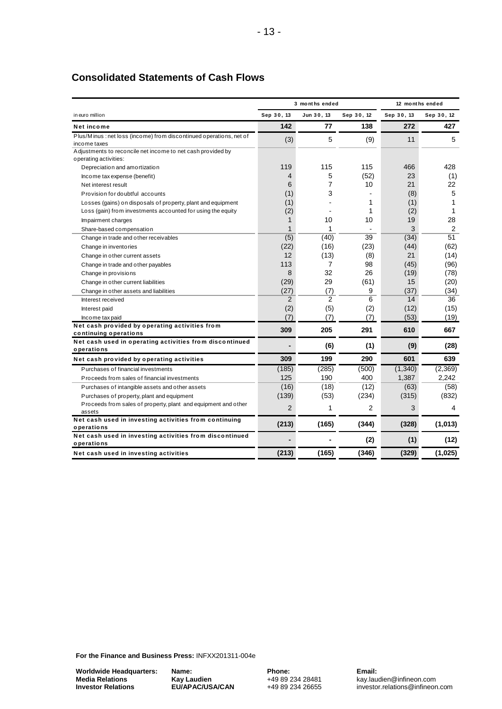# **Consolidated Statements of Cash Flows**

| in euro million<br>Net income<br>Plus/Minus: net loss (income) from discontinued operations, net of<br>income taxes<br>Adjustments to reconcile net income to net cash provided by<br>operating activities:<br>Depreciation and amortization<br>Income tax expense (benefit)<br>Net interest result<br>Provision for doubtful accounts | Sep 30, 13<br>142<br>(3)<br>119<br>4 | Jun 30, 13<br>77<br>5<br>115 | Sep 30, 12<br>138<br>(9) | Sep 30, 13<br>272<br>11 | Sep 30, 12<br>427<br>5 |
|----------------------------------------------------------------------------------------------------------------------------------------------------------------------------------------------------------------------------------------------------------------------------------------------------------------------------------------|--------------------------------------|------------------------------|--------------------------|-------------------------|------------------------|
|                                                                                                                                                                                                                                                                                                                                        |                                      |                              |                          |                         |                        |
|                                                                                                                                                                                                                                                                                                                                        |                                      |                              |                          |                         |                        |
|                                                                                                                                                                                                                                                                                                                                        |                                      |                              |                          |                         |                        |
|                                                                                                                                                                                                                                                                                                                                        |                                      |                              |                          |                         |                        |
|                                                                                                                                                                                                                                                                                                                                        |                                      |                              |                          |                         |                        |
|                                                                                                                                                                                                                                                                                                                                        |                                      |                              | 115                      | 466                     | 428                    |
|                                                                                                                                                                                                                                                                                                                                        |                                      | 5                            | (52)                     | 23                      | (1)                    |
|                                                                                                                                                                                                                                                                                                                                        | 6                                    | 7                            | 10                       | 21                      | 22                     |
|                                                                                                                                                                                                                                                                                                                                        | (1)                                  | 3                            |                          | (8)                     | 5                      |
| Losses (gains) on disposals of property, plant and equipment                                                                                                                                                                                                                                                                           | (1)                                  |                              | 1                        | (1)                     | 1                      |
| Loss (gain) from investments accounted for using the equity                                                                                                                                                                                                                                                                            | (2)                                  |                              | 1                        | (2)                     | 1                      |
| Impairment charges                                                                                                                                                                                                                                                                                                                     | 1                                    | 10                           | 10                       | 19                      | 28                     |
| Share-based compensation                                                                                                                                                                                                                                                                                                               | $\mathbf{1}$                         | 1                            |                          | 3                       | 2                      |
| Change in trade and other receivables                                                                                                                                                                                                                                                                                                  | (5)                                  | (40)                         | 39                       | (34)                    | 51                     |
| Change in inventories                                                                                                                                                                                                                                                                                                                  | (22)                                 | (16)                         | (23)                     | (44)                    | (62)                   |
| Change in other current assets                                                                                                                                                                                                                                                                                                         | 12                                   | (13)                         | (8)                      | 21                      | (14)                   |
| Change in trade and other payables                                                                                                                                                                                                                                                                                                     | 113                                  | 7                            | 98                       | (45)                    | (96)                   |
| Change in provisions                                                                                                                                                                                                                                                                                                                   | 8                                    | 32                           | 26                       | (19)                    | (78)                   |
| Change in other current liabilities                                                                                                                                                                                                                                                                                                    | (29)                                 | 29                           | (61)                     | 15                      | (20)                   |
| Change in other assets and liabilities                                                                                                                                                                                                                                                                                                 | (27)                                 | (7)                          | 9                        | (37)                    | (34)                   |
| Interest received                                                                                                                                                                                                                                                                                                                      | 2                                    | 2                            | 6                        | 14                      | 36                     |
| Interest paid                                                                                                                                                                                                                                                                                                                          | (2)                                  | (5)                          | (2)                      | (12)                    | (15)                   |
| Income tax paid                                                                                                                                                                                                                                                                                                                        | (7)                                  | (7)                          | (7)                      | (53)                    | (19)                   |
| Net cash provided by operating activities from                                                                                                                                                                                                                                                                                         |                                      |                              |                          |                         |                        |
| continuing operations                                                                                                                                                                                                                                                                                                                  | 309                                  | 205                          | 291                      | 610                     | 667                    |
| Net cash used in operating activities from discontinued<br>operations                                                                                                                                                                                                                                                                  |                                      | (6)                          | (1)                      | (9)                     | (28)                   |
| Net cash provided by operating activities                                                                                                                                                                                                                                                                                              | 309                                  | 199                          | 290                      | 601                     | 639                    |
| Purchases of financial investments                                                                                                                                                                                                                                                                                                     | (185)                                | (285)                        | (500)                    | (1,340)                 | (2,369)                |
| Proceeds from sales of financial investments                                                                                                                                                                                                                                                                                           | 125                                  | 190                          | 400                      | 1,387                   | 2.242                  |
| Purchases of intangible assets and other assets                                                                                                                                                                                                                                                                                        | (16)                                 | (18)                         | (12)                     | (63)                    | (58)                   |
| Purchases of property, plant and equipment                                                                                                                                                                                                                                                                                             | (139)                                | (53)                         | (234)                    | (315)                   | (832)                  |
| Proceeds from sales of property, plant and equipment and other                                                                                                                                                                                                                                                                         |                                      |                              |                          |                         |                        |
| assets                                                                                                                                                                                                                                                                                                                                 | 2                                    | 1                            | 2                        | 3                       | 4                      |
| Net cash used in investing activities from continuing                                                                                                                                                                                                                                                                                  | (213)                                | (165)                        | (344)                    | (328)                   | (1,013)                |
| operations                                                                                                                                                                                                                                                                                                                             |                                      |                              |                          |                         |                        |
| Net cash used in investing activities from discontinued<br>operations                                                                                                                                                                                                                                                                  |                                      |                              | (2)                      | (1)                     | (12)                   |
| Net cash used in investing activities                                                                                                                                                                                                                                                                                                  | (213)                                | (165)                        | (346)                    | (329)                   | (1,025)                |

**For the Finance and Business Press:** INFXX201311-004e

**Worldwide Headquarters: Media Relations Investor Relations**

**Name: Kay Laudien EU/APAC/USA/CAN** **Phone:** +49 89 234 28481 +49 89 234 26655 **Email:**